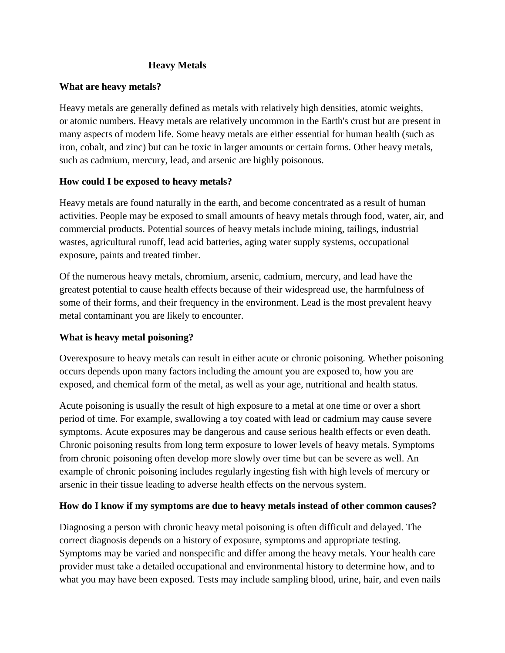### **Heavy Metals**

#### **What are heavy metals?**

Heavy metals are generally defined as [metals](https://en.wikipedia.org/wiki/Metal) with relatively high [densities,](https://en.wikipedia.org/wiki/Density) [atomic weights,](https://en.wikipedia.org/wiki/Atomic_weight) or [atomic numbers.](https://en.wikipedia.org/wiki/Atomic_number) Heavy metals are relatively uncommon in the [Earth's crust](https://en.wikipedia.org/wiki/Structure_of_the_Earth#Crust) but are present in many aspects of modern life. Some heavy metals are either essential for human health (such as iron, cobalt, and zinc) but can be toxic in larger amounts or certain forms. Other heavy metals, such as [cadmium,](https://en.wikipedia.org/wiki/Cadmium) mercury, lead, and arsenic are highly poisonous.

### **How could I be exposed to heavy metals?**

Heavy metals are found naturally in the earth, and become concentrated as a result of human activities. People may be exposed to small amounts of heavy metals through food, water, air, and commercial products. Potential sources of heavy metals include mining, tailings, industrial wastes, [agricultural runoff,](https://en.wikipedia.org/wiki/Agricultural_runoff) lead acid batteries, aging water supply systems, [occupational](https://en.wikipedia.org/wiki/Chemical_hazard)  [exposure,](https://en.wikipedia.org/wiki/Chemical_hazard) [paints](https://en.wikipedia.org/wiki/Environmental_impact_of_paint) and [treated timber.](https://en.wikipedia.org/wiki/Treated_wood)

Of the numerous heavy metals, chromium, arsenic, cadmium, mercury, and lead have the greatest potential to cause health effects because of their widespread use, the harmfulness of some of their forms, and their frequency in the environment. Lead is the most prevalent heavy metal contaminant you are likely to encounter.

### **What is heavy metal poisoning?**

Overexposure to heavy metals can result in either acute or chronic poisoning. Whether poisoning occurs depends upon many factors including the amount you are exposed to, how you are exposed, and chemical form of the metal, as well as your age, nutritional and health status.

Acute poisoning is usually the result of high exposure to a metal at one time or over a short period of time. For example, swallowing a toy coated with lead or cadmium may cause severe symptoms. Acute exposures may be dangerous and cause serious health effects or even death. Chronic poisoning results from long term exposure to lower levels of heavy metals. Symptoms from chronic poisoning often develop more slowly over time but can be severe as well. An example of chronic poisoning includes regularly ingesting fish with high levels of mercury or arsenic in their tissue leading to adverse health effects on the nervous system.

### **How do I know if my symptoms are due to heavy metals instead of other common causes?**

Diagnosing a person with chronic heavy metal poisoning is often difficult and delayed. The correct diagnosis depends on a history of exposure, symptoms and appropriate testing. Symptoms may be varied and nonspecific and differ among the heavy metals. Your health care provider must take a detailed occupational and environmental history to determine how, and to what you may have been exposed. Tests may include sampling blood, urine, hair, and even nails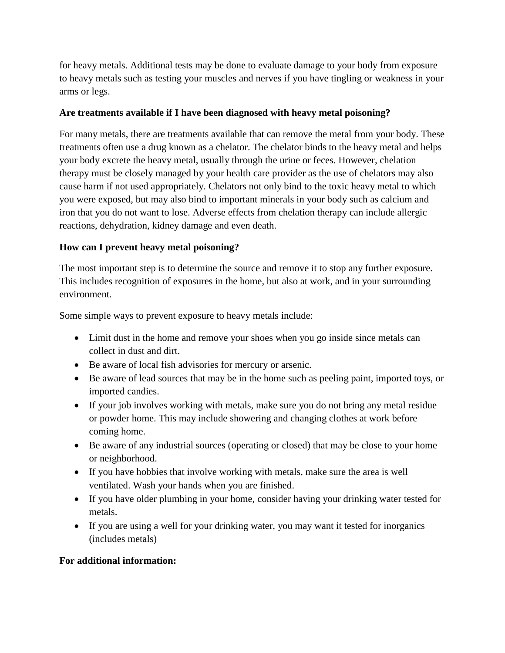for heavy metals. Additional tests may be done to evaluate damage to your body from exposure to heavy metals such as testing your muscles and nerves if you have tingling or weakness in your arms or legs.

## **Are treatments available if I have been diagnosed with heavy metal poisoning?**

For many metals, there are treatments available that can remove the metal from your body. These treatments often use a drug known as a chelator. The chelator binds to the heavy metal and helps your body excrete the heavy metal, usually through the urine or feces. However, chelation therapy must be closely managed by your health care provider as the use of chelators may also cause harm if not used appropriately. Chelators not only bind to the toxic heavy metal to which you were exposed, but may also bind to important minerals in your body such as calcium and iron that you do not want to lose. Adverse effects from chelation therapy can include allergic reactions, dehydration, kidney damage and even death.

# **How can I prevent heavy metal poisoning?**

The most important step is to determine the source and remove it to stop any further exposure. This includes recognition of exposures in the home, but also at work, and in your surrounding environment.

Some simple ways to prevent exposure to heavy metals include:

- Limit dust in the home and remove your shoes when you go inside since metals can collect in dust and dirt.
- Be aware of local fish advisories for mercury or arsenic.
- Be aware of lead sources that may be in the home such as peeling paint, imported toys, or imported candies.
- If your job involves working with metals, make sure you do not bring any metal residue or powder home. This may include showering and changing clothes at work before coming home.
- Be aware of any industrial sources (operating or closed) that may be close to your home or neighborhood.
- If you have hobbies that involve working with metals, make sure the area is well ventilated. Wash your hands when you are finished.
- If you have older plumbing in your home, consider having your drinking water tested for metals.
- If you are using a well for your drinking water, you may want it tested for inorganics (includes metals)

### **For additional information:**